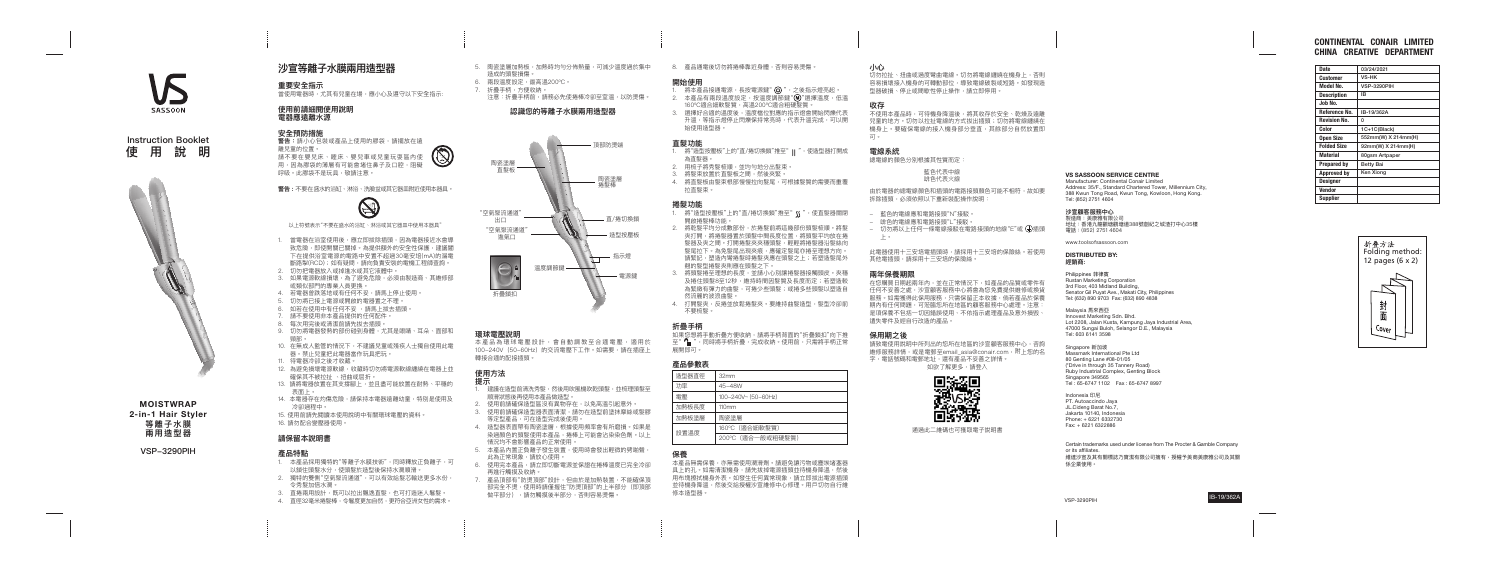| <b>Date</b>         | 03/24/2021         |
|---------------------|--------------------|
| <b>Customer</b>     | <b>VS-HK</b>       |
| <b>Model No.</b>    | <b>VSP-3290PIH</b> |
| <b>Description</b>  | IΒ                 |
| Job No.             |                    |
| Reference No.       | IB-19/362A         |
| <b>Revision No.</b> | 0                  |
| Color               | 1C+1C(Black)       |
| <b>Open Size</b>    | 552mm(W) X         |
| <b>Folded Size</b>  | 92mm(W) X 2        |
| <b>Material</b>     | 80gsm Artpap       |
| <b>Prepared by</b>  | <b>Betty Bai</b>   |
| <b>Approved by</b>  | Ken Xiong          |
| <b>Designer</b>     |                    |
| <b>Vendor</b>       |                    |
| <b>Supplier</b>     |                    |

| <b>Date</b>         | 03/24/2021          |
|---------------------|---------------------|
| Customer            | VS-HK               |
| Model No.           | <b>VSP-3290PIH</b>  |
| <b>Description</b>  | IΒ                  |
| Job No.             |                     |
| Reference No.       | IB-19/362A          |
| <b>Revision No.</b> | 0                   |
| Color               | 1C+1C(Black)        |
| <b>Open Size</b>    | 552mm(W) X 214mm(H) |
| <b>Folded Size</b>  | 92mm(W) X 214mm(H)  |
| <b>Material</b>     | 80gsm Artpaper      |
| <b>Prepared by</b>  | Betty Bai           |
| <b>Approved by</b>  | Ken Xiong           |
| <b>Designer</b>     |                     |
| <b>Vendor</b>       |                     |
| . .                 |                     |

# CONTINENTAL CONAIR LIMITED CHINA CREATIVE DEPARTMENT

MOISTWRAP

2-in-1 Hair Styler **等離子水膜 兩用造型器**

**VSP-3290PIH**

**SASSOON** 







# **沙宣等離子水膜兩用造型器**

# **重要安全指示**

當使用電器時,尤其有兒童在場,應小心及遵守以下安全指示:

# **使用前請細閱使用說明 電器應遠離水源**

### **安全預防措施**

**警告:**請小心包裝或產品上使用的膠袋,請擺放在遠 離兒童的位置。 請不要在嬰兒床、睡床、嬰兒車或兒童玩耍區內使 用,因為膠袋的薄層有可能會堵住鼻子及口腔,阻礙 呼吸。此膠袋不是玩具,敬請注意。

- 1. 當電器在浴室使用後,應立即拔除插頭,因為電器接近水會導 致危險,即使開關已關掉。為提供額外的安全性保護,建議閣 下在提供浴室電源的電路中安置不超過30毫安培(mA)的漏電 斷路掣(RCD);如有疑問,請向負責安裝的電機工程師查詢。
- 2. 切勿把電器放入或掉進水或其它液體中。
- 3. 如果電源軟線損壞,為了避免危險,必須由製造商、其維修部 或類似部門的專業人員更換。
- 4. 若電器曾跌落地或有任何不妥,請馬上停止使用。
- 5. 切勿將已接上電源或開啟的電器置之不理。
- . 如若在使用中有任何不妥 ,請馬上拔去插頭。
- 7. 請不要使用非本產品提供的任何配件。
- 8. 每次用完後或清潔前請先拔去插頭。
- 9. 切勿將電器發熱的部份碰到身體,尤其是眼睛、耳朵、面部和 頸部。
- 10. 在無成人監管的情況下,不建議兒童或殘疾人士獨自使用此電 器。禁止兒童把此電器當作玩具把玩。
- 11. 待電器冷卻之後才收藏。
- 12. 為避免損壞電源軟線,收藏時切勿將電源軟線纏繞在電器上並 確保其不被拉扯 、扭曲或屈折。
- 13. 請將電器放置在其支撐腳上,並且盡可能放置在耐熱、平穩的 表面上。
- 14. 本電器存在灼傷危險,請保持本電器遠離幼童,特別是使用及 冷卻過程中。
- 15. 使用前請先閱讀本使用說明中有關環球電壓的資料。
- 16. 請勿配合變壓器使用。

- 1. 本產品採用獨特的"等離子水膜技術",同時釋放正負離子,可 以鎖住頭髮水分,使頭髮於造型後保持水潤順滑。
- 2. 獨特的雙側"空氣聚流通道",可以有效給髮芯輸送更多水份, 令秀髮加倍水潤。
- 3. 直捲兩用設計,既可以拉出飄逸直髮,也可打造迷人鬈髮。
- 4. 直徑32毫米捲髮棒,令鬈度更加自然,更符合亞洲女性的需求。
- 

**警告 :** 不要在盛水的浴缸、淋浴、洗臉盆或其它器皿附近使用本器具。



以上符號表示"不要在盛水的浴缸、淋浴或其它器皿中使用本器具"

- 5. 陶瓷塗層加熱板,加熱時均勻分佈熱量,可減少溫度過於集中 造成的頭髮損傷。
- 6. 兩段溫度設定,最高溫200℃。
- 7. 折疊手柄,方便收納。
- …<br>注意:折疊手柄前,請務必先使捲棒冷卻至室溫,以防燙傷。

本產品為環球電壓設計,會自動調教至合適電壓,適用於 100-240V(50-60Hz)的交流電壓下工作。如需要,請在插座上 轉接合適的配接插頭。

1. 將本產品接通電源,長按電源鍵" (0)", 之後指示燈亮起。 2. 本產品有兩段溫度設定,按溫度調節鍵"M"選擇溫度,低溫 160ºC適合細軟髮質,高溫200ºC適合粗硬髮質。 3. 選擇好合適的溫度後,溫度檔位對應的指示燈會開始閃爍代表 升溫,等指示燈停止閃爍保持常亮時,代表升溫完成,可以開 始使用造型器。

- 1. 將"造型按壓板"上的"直/捲切換鎖"推至"ll",使造型器打開成 為直髮器。
- 2. 用梳子將秀髮梳順,並均勻地分出髮束。
- 3. 將髮束放置於直髮板之間,然後夾緊。 4. 將直髮板由髮束根部慢慢拉向髮尾,可根據髮質的需要而重覆 拉直髮束。

# **請保留本說明書**

### **產品特點**

- 1. 將"造型按壓板"上的"直/捲切換鎖"推至" (S ",使直髮器關閉 開啟捲髮棒功能
- 2. 將乾髮平均分成數部份,於捲髮前將這幾部份頭髮梳順。將髮 夾打開,將捲髮器置於頭髮中間長度位置,將頭髮平均放在捲 髮器及夾之間。打開捲髮夾夾穩頭髮,輕輕將捲髮器沿髮絲向 髮尾拉下。為免髮尾出現夾痕,應確定髮尾亦捲至理想方向。 請緊記,塑造內彎捲髮時捲髮夾應在頭髮之上;若塑造髮尾外 翹的髮型捲髮夾則應在頭髮之下。
- 3. 將頭髮捲至理想的長度,並請小心別讓捲髮器接觸頭皮。夾穩 及捲住頭髮8至12秒,維持時間因髮質及長度而定;若塑造較 為緊緻有彈力的曲髮,可捲少些頭髮;或捲多些頭髮以塑造自 然流麗的波浪曲髮
- 4. 打開髮夾,反捲並放鬆捲髮夾。要維持曲髮造型,髮型冷卻前 不要梳髮。

如果您想將手動折疊方便收納,請將手柄背面的"折疊鎖扣"向下推 至" ↑ ",同時將手柄折疊,完成收納。使用前,只需將手柄正常 展開即可。

本產品無需保養,亦無需使用潤滑劑。請避免讓污物或塵埃堵塞器 具上的孔。如需清潔機身,請先拔掉電源插頭並待機身降溫,然後 用布塊擦拭機身外表。如發生任何異常現象,請立即拔出電源插頭 並待機身降溫,然後交給授權沙宣維修中心修理。用戶切勿自行維 修本造型器。

# **認識您的等離子水膜兩用造型器**

# **環球電壓說明**

# **使用方法 提示**

- 1. 建議在造型前清洗秀髮,然後用吹風機吹乾頭髮,並梳理頭髮至 順滑狀態後再使用本產品做造型
- 使用前請確保造型區沒有異物存在,以免高溫引起意外。
- 使用前請確保造型器表面清潔,請勿在造型前塗抹摩絲或髮膠 等定型產品,可在造型完成後使用。
- 4. 造型器表面帶有陶瓷塗層,根據使用頻率會有所磨損。如果是 染過顏色的頭髮使用本產品,捲棒上可能會沾染染色劑。以上 情況均不會影響產品的正常使用。
- 5. 本產品內置正負離子發生裝置,使用時會發出輕微的劈啪聲 此為正常現象,請放心使用。
- 使用完本產品,請立即切斷電源並保證在捲棒溫度已完全冷卻 再進行觸摸及收納。
- 7. 產品頂部有"防燙頂部"設計,但由於是加熱裝置,不能確保頂 部完全不燙,使用時請僅握住"防燙頂部"的上半部分(即頂部 做平部分),請勿觸摸後半部分,否則容易燙傷。
- 

此電器使用十三安培面頭時,請採用十三安培的保險絲。若使用 其他電插頭,請採用十三安培的保險絲。

請致電使用說明中所列出的您所在地區的沙宣顧客服務中心,咨詢 維修服務詳情,或是電郵至email\_asia@conair.com,附上您的名 字,電話號碼和電郵地址,還有產品不妥善之詳情。 如欲了解更多,請登入



**/> 三廠:日流537 + 3**<br>製造商:美康雅有限公司 地址:香港九龍觀塘觀塘道388號創紀之城渣打中心35樓 電話:(852) 2751 4604

8. 產品通電後切勿將捲棒靠近身體,否則容易燙傷。

### **開始使用**

### **直髮功能**

### **捲髮功能**



# **折疊手柄**

# **產品參數表**

| 浩型器直徑 | 32mm                |
|-------|---------------------|
| 功率    | 45-48W              |
| 雷壓    | 100-240V~ (50-60Hz) |
| 加熱板長度 | 110mm               |
| 加熱板塗層 | 陶瓷塗層                |
| 設置溫度  | 160℃ (適合細軟髮質)       |
|       | 200℃ (適合一般或粗硬髮質)    |

# **保養**

#### **小心**

切勿拉扯、扭曲或過度彎曲電線。切勿將電線纏繞在機身上,否則 容易損壞接入機身的可轉動部位,導致電線破裂或短路。如發現造 型器破損、停止或間歇性停止操作,請立即停用。

### **收存**

不使用本產品時,可待機身降溫後,將其收存於安全、乾燥及遠離 兒童的地方。切勿以拉扯電線的方式拔出插頭;切勿將電線纏繞在 機身上。要確保電線的接入機身部分垂直,其餘部分自然放置即 可。

# **電線系統**

總電線的顏色分別根據其性質而定:

藍色代表中線 啡色代表火線

由於電器的總電線顏色和插頭的電路接頭顏色可能不相符,故如要 拆除插頭,必須依照以下重新裝配操作說明:

- 藍色的電線應和電路接頭"N"接駁。
- 啡色的電線應和電路接頭"L"接駁。
- 切勿將以上任何一條電線接駁在電路接頭的地線"E"或  $\overline{(\cdot)}$ 插頭 上。

### **兩年保養期限**

在您購買日期起兩年內,並在正常情況下,如產品的品質或零件有 任何不妥善之處,沙宣顧客服務中心將會為您免費提供維修或換貨 服務。如需獲得此保用服務,只需保留正本收據,倘若產品於保養 ……<br>期內有任何問題,可蒞臨您所在地區的顧客服務中心處理。注意 是項保養不包括一切因錯誤使用、不依指示處理產品及意外損毀 遺失零件及經自行改造的產品。

### **保用期之後**

通過此二維碼也可獲取電子說明書

Certain trademarks used under license from The Procter & Gamble Company or its affiliates. 維達沙宣及其有關標誌乃寶潔有限公司擁有,授權予美商美康雅公司及其關 係企業使用。

# VSP-3290PIH **IB-19/362A**

# VS SASSOON SERVICE CENTRE

Manufacturer: Continental Conair Limited Address: 35/F., Standard Chartered Tower, Millennium City, 388 Kwun Tong Road, Kwun Tong, Kowloon, Hong Kong. Tel: (852) 2751 4604

### **沙宣顧客服務中心**

www.toolsofsassoon.com

### DISTRIBUTED BY: **經銷商:**

Philippines 菲律賓 Rustan Marketing Corporation 3rd Floor, 403 Midland Building, Senator Gil Puyat Ave., Makati City, Philippines Tel: (632) 890 9703 Fax: (632) 890 4838

Malaysia 馬來西亞 Innovest Marketing Sdn. Bhd. Lot 2208, Jalan Kusta, Kampung Java Industrial Area. 47000 Sungai Buloh, Selangor D.E., Malaysia Tel: 603 6141 3598

Singapore 新加坡 Massmark International Pte Ltd 80 Genting Lane #08-01/05 (\*Drive in through 35 Tannery Road) Ruby Industrial Complex, Genting Block Singapore 349565 Tel : 65-6747 1102 Fax : 65-6747 8997

Indonesia 印尼 PT. Autoaccindo Jaya JL.Cideng Barat No.7, Jakarta 10140, Indonesia Phone: + 6221 6332730 Fax: + 6221 6322886